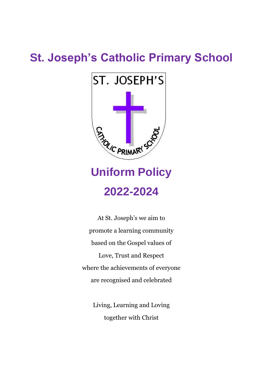## **St. Joseph's Catholic Primary School**



# **Uniform Policy 2022-2024**

At St. Joseph's we aim to promote a learning community based on the Gospel values of Love, Trust and Respect where the achievements of everyone are recognised and celebrated

> Living, Learning and Loving together with Christ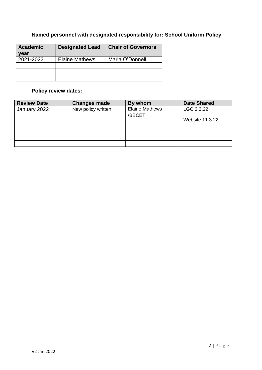## **Named personnel with designated responsibility for: School Uniform Policy**

| <b>Academic</b><br>vear | <b>Designated Lead</b> | <b>Chair of Governors</b> |
|-------------------------|------------------------|---------------------------|
| 2021-2022               | <b>Elaine Mathews</b>  | Maria O'Donnell           |
|                         |                        |                           |
|                         |                        |                           |
|                         |                        |                           |

## **Policy review dates:**

| <b>Review Date</b> | <b>Changes made</b> | By whom               | <b>Date Shared</b>     |
|--------------------|---------------------|-----------------------|------------------------|
| January 2022       | New policy written  | <b>Elaine Mathews</b> | LGC 3.3.22             |
|                    |                     | /BBCET                | <b>Website 11.3.22</b> |
|                    |                     |                       |                        |
|                    |                     |                       |                        |
|                    |                     |                       |                        |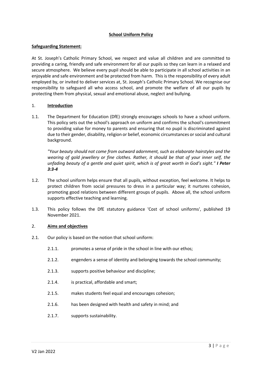#### **School Uniform Policy**

#### **Safeguarding Statement:**

At St. Joseph's Catholic Primary School, we respect and value all children and are committed to providing a caring, friendly and safe environment for all our pupils so they can learn in a relaxed and secure atmosphere. We believe every pupil should be able to participate in all school activities in an enjoyable and safe environment and be protected from harm. This is the responsibility of every adult employed by, or invited to deliver services at, St. Joseph's Catholic Primary School. We recognise our responsibility to safeguard all who access school, and promote the welfare of all our pupils by protecting them from physical, sexual and emotional abuse, neglect and bullying.

#### 1. **Introduction**

1.1. The Department for Education (DfE) strongly encourages schools to have a school uniform. This policy sets out the school's approach on uniform and confirms the school's commitment to providing value for money to parents and ensuring that no pupil is discriminated against due to their gender, disability, religion or belief, economic circumstances or social and cultural background.

*"Your beauty should not come from outward adornment, such as elaborate hairstyles and the wearing of gold jewellery or fine clothes. Rather, it should be that of your inner self, the unfading beauty of a gentle and quiet spirit, which is of great worth in God's sight." I Peter 3:3-4*

- 1.2. The school uniform helps ensure that all pupils, without exception, feel welcome. It helps to protect children from social pressures to dress in a particular way; it nurtures cohesion, promoting good relations between different groups of pupils. Above all, the school uniform supports effective teaching and learning.
- 1.3. This policy follows the DfE statutory guidance 'Cost of school uniforms', published 19 November 2021.

#### 2. **Aims and objectives**

- 2.1. Our policy is based on the notion that school uniform:
	- 2.1.1. promotes a sense of pride in the school in line with our ethos:
	- 2.1.2. engenders a sense of identity and belonging towards the school community;
	- 2.1.3. supports positive behaviour and discipline;
	- 2.1.4. is practical, affordable and smart;
	- 2.1.5. makes students feel equal and encourages cohesion;
	- 2.1.6. has been designed with health and safety in mind; and
	- 2.1.7. supports sustainability.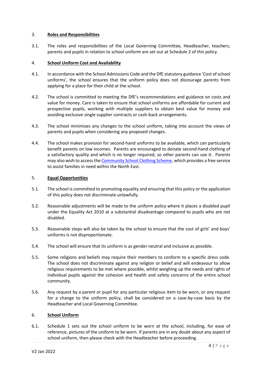#### 3. **Roles and Responsibilities**

3.1. The roles and responsibilities of the Local Governing Committee, Headteacher, teachers, parents and pupils in relation to school uniform are set out at Schedule 2 of this policy.

#### 4. **School Uniform Cost and Availability**

- 4.1. In accordance with the School Admissions Code and the DfE statutory guidance 'Cost of school uniforms', the school ensures that the uniform policy does not discourage parents from applying for a place for their child at the school.
- 4.2. The school is committed to meeting the DfE's recommendations and guidance on costs and value for money. Care is taken to ensure that school uniforms are affordable for current and prospective pupils, working with multiple suppliers to obtain best value for money and avoiding exclusive single supplier contracts or cash-back arrangements.
- 4.3. The school minimises any changes to the school uniform, taking into account the views of parents and pupils when considering any proposed changes.
- 4.4. The school makes provision for second-hand uniforms to be available, which can particularly benefit parents on low incomes. Parents are encouraged to donate second-hand clothing of a satisfactory quality and which is no longer required, so other parents can use it. Parents may also wish to access th[e Community School Clothing Scheme,](https://www.communityschoolclothingscheme.org/about) which provides a free service to assist families in need within the North East.

#### 5. **Equal Opportunities**

- 5.1. The school is committed to promoting equality and ensuring that this policy or the application of this policy does not discriminate unlawfully.
- 5.2. Reasonable adjustments will be made to the uniform policy where it places a disabled pupil under the Equality Act 2010 at a substantial disadvantage compared to pupils who are not disabled.
- 5.3. Reasonable steps will also be taken by the school to ensure that the cost of girls' and boys' uniforms is not disproportionate.
- 5.4. The school will ensure that its uniform is as gender neutral and inclusive as possible.
- 5.5. Some religions and beliefs may require their members to conform to a specific dress code. The school does not discriminate against any religion or belief and will endeavour to allow religious requirements to be met where possible, whilst weighing up the needs and rights of individual pupils against the cohesion and health and safety concerns of the entire school community.
- 5.6. Any request by a parent or pupil for any particular religious item to be worn, or any request for a change to the uniform policy, shall be considered on a case-by-case basis by the Headteacher and Local Governing Committee.

#### 6. **School Uniform**

6.1. Schedule 1 sets out the school uniform to be worn at the school, including, for ease of reference, pictures of the uniform to be worn. If parents are in any doubt about any aspect of school uniform, then please check with the Headteacher before proceeding.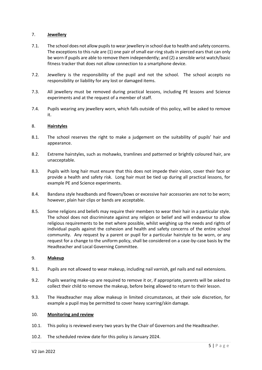#### 7. **Jewellery**

- 7.1. The school does not allow pupils to wear jewellery in school due to health and safety concerns. The exceptions to this rule are (1) one pair of small ear-ring studs in pierced ears that can only be worn if pupils are able to remove them independently; and (2) a sensible wrist watch/basic fitness tracker that does not allow connection to a smartphone device.
- 7.2. Jewellery is the responsibility of the pupil and not the school. The school accepts no responsibility or liability for any lost or damaged items.
- 7.3. All jewellery must be removed during practical lessons, including PE lessons and Science experiments and at the request of a member of staff.
- 7.4. Pupils wearing any jewellery worn, which falls outside of this policy, will be asked to remove it.

#### 8. **Hairstyles**

- 8.1. The school reserves the right to make a judgement on the suitability of pupils' hair and appearance.
- 8.2. Extreme hairstyles, such as mohawks, tramlines and patterned or brightly coloured hair, are unacceptable.
- 8.3. Pupils with long hair must ensure that this does not impede their vision, cover their face or provide a health and safety risk. Long hair must be tied up during all practical lessons, for example PE and Science experiments.
- 8.4. Bandana style headbands and flowers/bows or excessive hair accessories are not to be worn; however, plain hair clips or bands are acceptable.
- 8.5. Some religions and beliefs may require their members to wear their hair in a particular style. The school does not discriminate against any religion or belief and will endeavour to allow religious requirements to be met where possible, whilst weighing up the needs and rights of individual pupils against the cohesion and health and safety concerns of the entire school community. Any request by a parent or pupil for a particular hairstyle to be worn, or any request for a change to the uniform policy, shall be considered on a case-by-case basis by the Headteacher and Local Governing Committee.

#### 9. **Makeup**

- 9.1. Pupils are not allowed to wear makeup, including nail varnish, gel nails and nail extensions.
- 9.2. Pupils wearing make-up are required to remove it or, if appropriate, parents will be asked to collect their child to remove the makeup, before being allowed to return to their lesson.
- 9.3. The Headteacher may allow makeup in limited circumstances, at their sole discretion, for example a pupil may be permitted to cover heavy scarring/skin damage.

#### 10. **Monitoring and review**

- 10.1. This policy is reviewed every two years by the Chair of Governors and the Headteacher.
- 10.2. The scheduled review date for this policy is January 2024.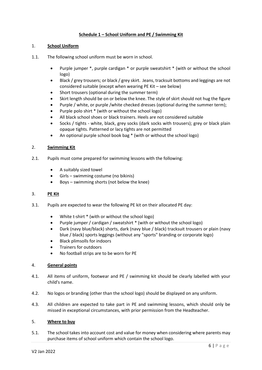#### **Schedule 1 – School Uniform and PE / Swimming Kit**

#### 1. **School Uniform**

- 1.1. The following school uniform must be worn in school.
	- Purple jumper \*, purple cardigan \* or purple sweatshirt \* (with or without the school logo)
	- Black / grey trousers; or black / grey skirt. Jeans, tracksuit bottoms and leggings are not considered suitable (except when wearing PE Kit – see below)
	- Short trousers (optional during the summer term)
	- Skirt length should be on or below the knee. The style of skirt should not hug the figure
	- Purple / white, or purple /white checked dresses (optional during the summer term);
	- Purple polo shirt \* (with or without the school logo)
	- All black school shoes or black trainers. Heels are not considered suitable
	- Socks / tights white, black, grey socks (dark socks with trousers); grey or black plain opaque tights. Patterned or lacy tights are not permitted
	- An optional purple school book bag \* (with or without the school logo)

#### 2. **Swimming Kit**

- 2.1. Pupils must come prepared for swimming lessons with the following:
	- A suitably sized towel
	- Girls swimming costume (no bikinis)
	- Boys swimming shorts (not below the knee)

#### 3. **PE Kit**

- 3.1. Pupils are expected to wear the following PE kit on their allocated PE day:
	- White t-shirt \* (with or without the school logo)
	- Purple jumper / cardigan / sweatshirt \* (with or without the school logo)
	- Dark (navy blue/black) shorts, dark (navy blue / black) tracksuit trousers or plain (navy blue / black) sports leggings (without any "sports" branding or corporate logo)
	- Black plimsolls for indoors
	- Trainers for outdoors
	- No football strips are to be worn for PE

#### 4. **General points**

- 4.1. All items of uniform, footwear and PE / swimming kit should be clearly labelled with your child's name.
- 4.2. No logos or branding (other than the school logo) should be displayed on any uniform.
- 4.3. All children are expected to take part in PE and swimming lessons, which should only be missed in exceptional circumstances, with prior permission from the Headteacher.

#### 5. **Where to buy**

5.1. The school takes into account cost and value for money when considering where parents may purchase items of school uniform which contain the school logo.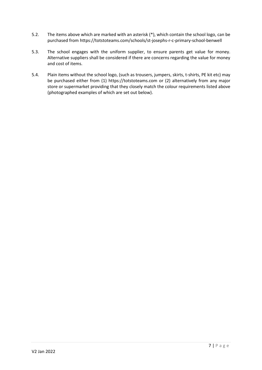- 5.2. The items above which are marked with an asterisk (\*), which contain the school logo, can be purchased from https://totstoteams.com/schools/st-josephs-r-c-primary-school-benwell
- 5.3. The school engages with the uniform supplier, to ensure parents get value for money. Alternative suppliers shall be considered if there are concerns regarding the value for money and cost of items.
- 5.4. Plain items without the school logo, (such as trousers, jumpers, skirts, t-shirts, PE kit etc) may be purchased either from (1) https://totstoteams.com or (2) alternatively from any major store or supermarket providing that they closely match the colour requirements listed above (photographed examples of which are set out below).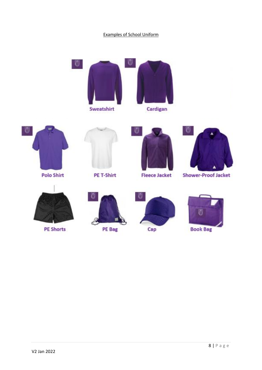### Examples of School Uniform





**Polo Shirt** 



PE T-Shirt



**Fleece Jacket** 







**PE Shorts** 



PE Bag





**Book Bag**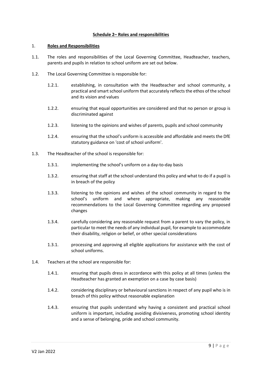#### **Schedule 2– Roles and responsibilities**

#### 1. **Roles and Responsibilities**

- 1.1. The roles and responsibilities of the Local Governing Committee, Headteacher, teachers, parents and pupils in relation to school uniform are set out below.
- 1.2. The Local Governing Committee is responsible for:
	- 1.2.1. establishing, in consultation with the Headteacher and school community, a practical and smart school uniform that accurately reflects the ethos of the school and its vision and values
	- 1.2.2. ensuring that equal opportunities are considered and that no person or group is discriminated against
	- 1.2.3. listening to the opinions and wishes of parents, pupils and school community
	- 1.2.4. ensuring that the school's uniform is accessible and affordable and meets the DfE statutory guidance on 'cost of school uniform'.
- 1.3. The Headteacher of the school is responsible for:
	- 1.3.1. implementing the school's uniform on a day-to-day basis
	- 1.3.2. ensuring that staff at the school understand this policy and what to do if a pupil is in breach of the policy
	- 1.3.3. listening to the opinions and wishes of the school community in regard to the school's uniform and where appropriate, making any reasonable recommendations to the Local Governing Committee regarding any proposed changes
	- 1.3.4. carefully considering any reasonable request from a parent to vary the policy, in particular to meet the needs of any individual pupil, for example to accommodate their disability, religion or belief, or other special considerations
	- 1.3.1. processing and approving all eligible applications for assistance with the cost of school uniforms.
- 1.4. Teachers at the school are responsible for:
	- 1.4.1. ensuring that pupils dress in accordance with this policy at all times (unless the Headteacher has granted an exemption on a case by case basis)
	- 1.4.2. considering disciplinary or behavioural sanctions in respect of any pupil who is in breach of this policy without reasonable explanation
	- 1.4.3. ensuring that pupils understand why having a consistent and practical school uniform is important, including avoiding divisiveness, promoting school identity and a sense of belonging, pride and school community.